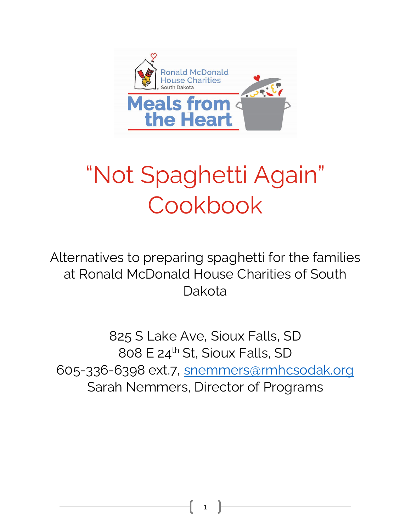

# "Not Spaghetti Again" Cookbook

Alternatives to preparing spaghetti for the families at Ronald McDonald House Charities of South Dakota

825 S Lake Ave, Sioux Falls, SD 808 E 24th St, Sioux Falls, SD 605-336-6398 ext.7, [snemmers@rmhcsodak.org](mailto:snemmers@rmhcsodak.org) Sarah Nemmers, Director of Programs

1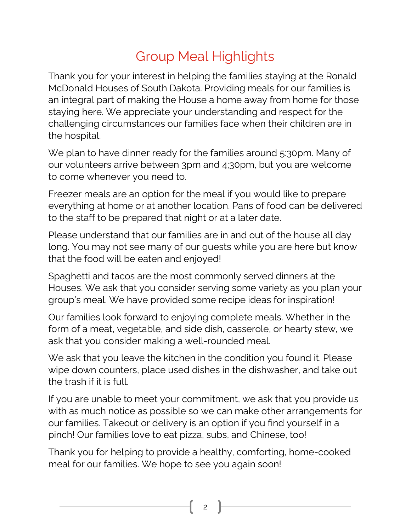## Group Meal Highlights

Thank you for your interest in helping the families staying at the Ronald McDonald Houses of South Dakota. Providing meals for our families is an integral part of making the House a home away from home for those staying here. We appreciate your understanding and respect for the challenging circumstances our families face when their children are in the hospital.

We plan to have dinner ready for the families around 5:30pm. Many of our volunteers arrive between 3pm and 4;30pm, but you are welcome to come whenever you need to.

Freezer meals are an option for the meal if you would like to prepare everything at home or at another location. Pans of food can be delivered to the staff to be prepared that night or at a later date.

Please understand that our families are in and out of the house all day long. You may not see many of our guests while you are here but know that the food will be eaten and enjoyed!

Spaghetti and tacos are the most commonly served dinners at the Houses. We ask that you consider serving some variety as you plan your group's meal. We have provided some recipe ideas for inspiration!

Our families look forward to enjoying complete meals. Whether in the form of a meat, vegetable, and side dish, casserole, or hearty stew, we ask that you consider making a well-rounded meal.

We ask that you leave the kitchen in the condition you found it. Please wipe down counters, place used dishes in the dishwasher, and take out the trash if it is full.

If you are unable to meet your commitment, we ask that you provide us with as much notice as possible so we can make other arrangements for our families. Takeout or delivery is an option if you find yourself in a pinch! Our families love to eat pizza, subs, and Chinese, too!

Thank you for helping to provide a healthy, comforting, home-cooked meal for our families. We hope to see you again soon!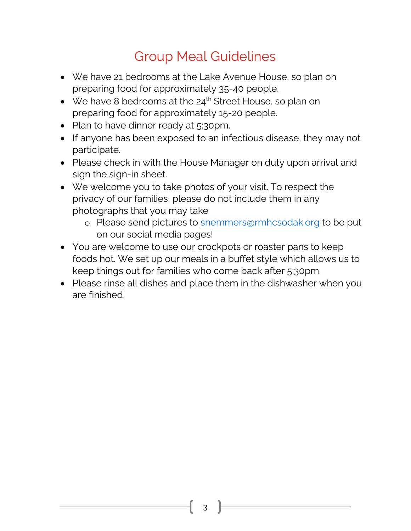#### Group Meal Guidelines

- We have 21 bedrooms at the Lake Avenue House, so plan on preparing food for approximately 35-40 people.
- We have 8 bedrooms at the  $24<sup>th</sup>$  Street House, so plan on preparing food for approximately 15-20 people.
- Plan to have dinner ready at 5:30pm.
- If anyone has been exposed to an infectious disease, they may not participate.
- Please check in with the House Manager on duty upon arrival and sign the sign-in sheet.
- We welcome you to take photos of your visit. To respect the privacy of our families, please do not include them in any photographs that you may take
	- o Please send pictures to [snemmers@rmhcsodak.org](mailto:snemmers@rmhcsodak.org) to be put on our social media pages!
- You are welcome to use our crockpots or roaster pans to keep foods hot. We set up our meals in a buffet style which allows us to keep things out for families who come back after 5:30pm.
- Please rinse all dishes and place them in the dishwasher when you are finished.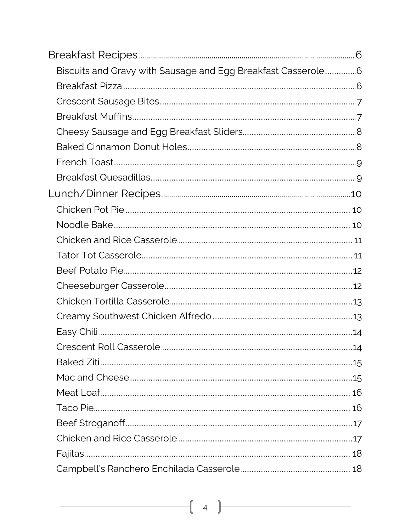| Biscuits and Gravy with Sausage and Egg Breakfast Casserole6 |  |
|--------------------------------------------------------------|--|
|                                                              |  |
|                                                              |  |
|                                                              |  |
|                                                              |  |
|                                                              |  |
|                                                              |  |
|                                                              |  |
|                                                              |  |
|                                                              |  |
|                                                              |  |
|                                                              |  |
|                                                              |  |
|                                                              |  |
|                                                              |  |
|                                                              |  |
|                                                              |  |
|                                                              |  |
|                                                              |  |
|                                                              |  |
|                                                              |  |
|                                                              |  |
|                                                              |  |
|                                                              |  |
|                                                              |  |
|                                                              |  |
|                                                              |  |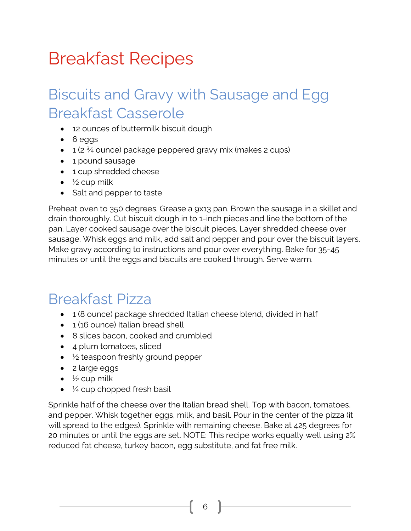# <span id="page-5-0"></span>Breakfast Recipes

## <span id="page-5-1"></span>Biscuits and Gravy with Sausage and Egg Breakfast Casserole

- 12 ounces of buttermilk biscuit dough
- 6 eggs
- $\bullet$  1 (2  $\frac{3}{4}$  ounce) package peppered gravy mix (makes 2 cups)
- 1 pound sausage
- 1 cup shredded cheese
- $\bullet\quad$  ½ cup milk
- Salt and pepper to taste

Preheat oven to 350 degrees. Grease a 9x13 pan. Brown the sausage in a skillet and drain thoroughly. Cut biscuit dough in to 1-inch pieces and line the bottom of the pan. Layer cooked sausage over the biscuit pieces. Layer shredded cheese over sausage. Whisk eggs and milk, add salt and pepper and pour over the biscuit layers. Make gravy according to instructions and pour over everything. Bake for 35-45 minutes or until the eggs and biscuits are cooked through. Serve warm.

#### <span id="page-5-2"></span>Breakfast Pizza

- 1 (8 ounce) package shredded Italian cheese blend, divided in half
- 1 (16 ounce) Italian bread shell
- 8 slices bacon, cooked and crumbled
- 4 plum tomatoes, sliced
- $\bullet\quad$  ½ teaspoon freshly ground pepper
- 2 large eggs
- $\frac{1}{2}$  cup milk
- $\bullet\quad$  ¼ cup chopped fresh basil

Sprinkle half of the cheese over the Italian bread shell. Top with bacon, tomatoes, and pepper. Whisk together eggs, milk, and basil. Pour in the center of the pizza (it will spread to the edges). Sprinkle with remaining cheese. Bake at 425 degrees for 20 minutes or until the eggs are set. NOTE: This recipe works equally well using 2% reduced fat cheese, turkey bacon, egg substitute, and fat free milk.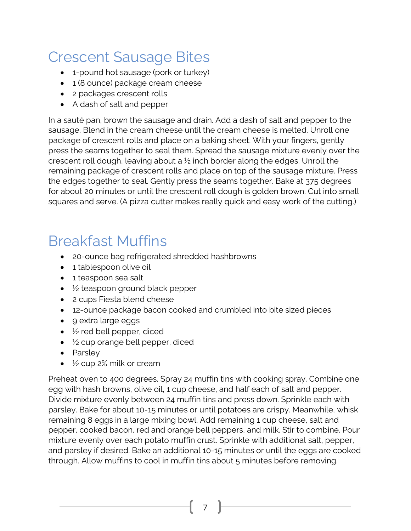## <span id="page-6-0"></span>Crescent Sausage Bites

- 1-pound hot sausage (pork or turkey)
- 1 (8 ounce) package cream cheese
- 2 packages crescent rolls
- A dash of salt and pepper

In a sauté pan, brown the sausage and drain. Add a dash of salt and pepper to the sausage. Blend in the cream cheese until the cream cheese is melted. Unroll one package of crescent rolls and place on a baking sheet. With your fingers, gently press the seams together to seal them. Spread the sausage mixture evenly over the crescent roll dough, leaving about a ½ inch border along the edges. Unroll the remaining package of crescent rolls and place on top of the sausage mixture. Press the edges together to seal. Gently press the seams together. Bake at 375 degrees for about 20 minutes or until the crescent roll dough is golden brown. Cut into small squares and serve. (A pizza cutter makes really quick and easy work of the cutting.)

#### <span id="page-6-1"></span>Breakfast Muffins

- 20-ounce bag refrigerated shredded hashbrowns
- 1 tablespoon olive oil
- 1 teaspoon sea salt
- $\bullet\quad$  ½ teaspoon ground black pepper
- 2 cups Fiesta blend cheese
- 12-ounce package bacon cooked and crumbled into bite sized pieces
- 9 extra large eggs
- $\bullet$   $\frac{1}{2}$  red bell pepper, diced
- $\bullet\quad$  ½ cup orange bell pepper, diced
- Parsley
- ½ cup 2% milk or cream

Preheat oven to 400 degrees. Spray 24 muffin tins with cooking spray. Combine one egg with hash browns, olive oil, 1 cup cheese, and half each of salt and pepper. Divide mixture evenly between 24 muffin tins and press down. Sprinkle each with parsley. Bake for about 10-15 minutes or until potatoes are crispy. Meanwhile, whisk remaining 8 eggs in a large mixing bowl. Add remaining 1 cup cheese, salt and pepper, cooked bacon, red and orange bell peppers, and milk. Stir to combine. Pour mixture evenly over each potato muffin crust. Sprinkle with additional salt, pepper, and parsley if desired. Bake an additional 10-15 minutes or until the eggs are cooked through. Allow muffins to cool in muffin tins about 5 minutes before removing.

7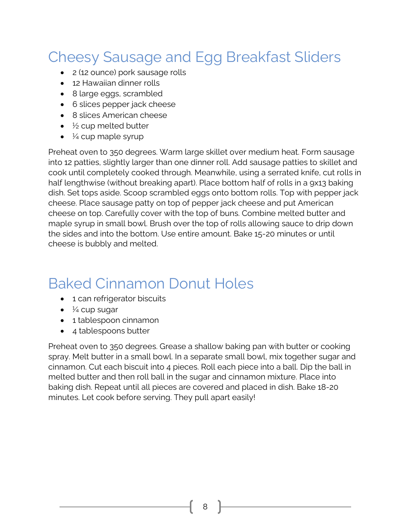## <span id="page-7-0"></span>Cheesy Sausage and Egg Breakfast Sliders

- 2 (12 ounce) pork sausage rolls
- 12 Hawaiian dinner rolls
- 8 large eggs, scrambled
- 6 slices pepper jack cheese
- 8 slices American cheese
- $\bullet\quad$  ½ cup melted butter
- $\bullet\quad$  ¼ cup maple syrup

Preheat oven to 350 degrees. Warm large skillet over medium heat. Form sausage into 12 patties, slightly larger than one dinner roll. Add sausage patties to skillet and cook until completely cooked through. Meanwhile, using a serrated knife, cut rolls in half lengthwise (without breaking apart). Place bottom half of rolls in a 9x13 baking dish. Set tops aside. Scoop scrambled eggs onto bottom rolls. Top with pepper jack cheese. Place sausage patty on top of pepper jack cheese and put American cheese on top. Carefully cover with the top of buns. Combine melted butter and maple syrup in small bowl. Brush over the top of rolls allowing sauce to drip down the sides and into the bottom. Use entire amount. Bake 15-20 minutes or until cheese is bubbly and melted.

#### <span id="page-7-1"></span>Baked Cinnamon Donut Holes

- 1 can refrigerator biscuits
- $\bullet\quad$  ½ cup sugar
- 1 tablespoon cinnamon
- 4 tablespoons butter

Preheat oven to 350 degrees. Grease a shallow baking pan with butter or cooking spray. Melt butter in a small bowl. In a separate small bowl, mix together sugar and cinnamon. Cut each biscuit into 4 pieces. Roll each piece into a ball. Dip the ball in melted butter and then roll ball in the sugar and cinnamon mixture. Place into baking dish. Repeat until all pieces are covered and placed in dish. Bake 18-20 minutes. Let cook before serving. They pull apart easily!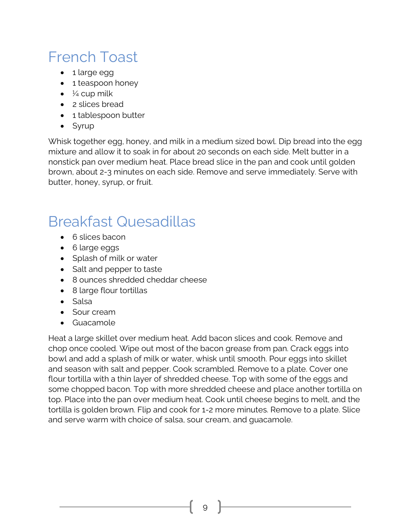## <span id="page-8-0"></span>French Toast

- 1 large egg
- 1 teaspoon honey
- $\bullet\quad$  ½ cup milk
- 2 slices bread
- 1 tablespoon butter
- Syrup

Whisk together egg, honey, and milk in a medium sized bowl. Dip bread into the egg mixture and allow it to soak in for about 20 seconds on each side. Melt butter in a nonstick pan over medium heat. Place bread slice in the pan and cook until golden brown, about 2-3 minutes on each side. Remove and serve immediately. Serve with butter, honey, syrup, or fruit.

#### <span id="page-8-1"></span>Breakfast Quesadillas

- 6 slices bacon
- 6 large eggs
- Splash of milk or water
- Salt and pepper to taste
- 8 ounces shredded cheddar cheese
- 8 large flour tortillas
- Salsa
- Sour cream
- Guacamole

Heat a large skillet over medium heat. Add bacon slices and cook. Remove and chop once cooled. Wipe out most of the bacon grease from pan. Crack eggs into bowl and add a splash of milk or water, whisk until smooth. Pour eggs into skillet and season with salt and pepper. Cook scrambled. Remove to a plate. Cover one flour tortilla with a thin layer of shredded cheese. Top with some of the eggs and some chopped bacon. Top with more shredded cheese and place another tortilla on top. Place into the pan over medium heat. Cook until cheese begins to melt, and the tortilla is golden brown. Flip and cook for 1-2 more minutes. Remove to a plate. Slice and serve warm with choice of salsa, sour cream, and guacamole.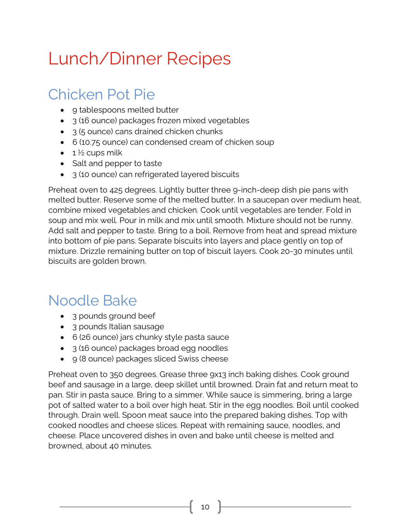# <span id="page-9-0"></span>Lunch/Dinner Recipes

## <span id="page-9-1"></span>Chicken Pot Pie

- 9 tablespoons melted butter
- 3 (16 ounce) packages frozen mixed vegetables
- 3 (5 ounce) cans drained chicken chunks
- 6 (10.75 ounce) can condensed cream of chicken soup
- $\bullet$  1  $\frac{1}{2}$  cups milk
- Salt and pepper to taste
- 3 (10 ounce) can refrigerated layered biscuits

Preheat oven to 425 degrees. Lightly butter three 9-inch-deep dish pie pans with melted butter. Reserve some of the melted butter. In a saucepan over medium heat, combine mixed vegetables and chicken. Cook until vegetables are tender. Fold in soup and mix well. Pour in milk and mix until smooth. Mixture should not be runny. Add salt and pepper to taste. Bring to a boil. Remove from heat and spread mixture into bottom of pie pans. Separate biscuits into layers and place gently on top of mixture. Drizzle remaining butter on top of biscuit layers. Cook 20-30 minutes until biscuits are golden brown.

## <span id="page-9-2"></span>Noodle Bake

- 3 pounds ground beef
- 3 pounds Italian sausage
- 6 (26 ounce) jars chunky style pasta sauce
- 3 (16 ounce) packages broad egg noodles
- 9 (8 ounce) packages sliced Swiss cheese

Preheat oven to 350 degrees. Grease three 9x13 inch baking dishes. Cook ground beef and sausage in a large, deep skillet until browned. Drain fat and return meat to pan. Stir in pasta sauce. Bring to a simmer. While sauce is simmering, bring a large pot of salted water to a boil over high heat. Stir in the egg noodles. Boil until cooked through. Drain well. Spoon meat sauce into the prepared baking dishes. Top with cooked noodles and cheese slices. Repeat with remaining sauce, noodles, and cheese. Place uncovered dishes in oven and bake until cheese is melted and browned, about 40 minutes.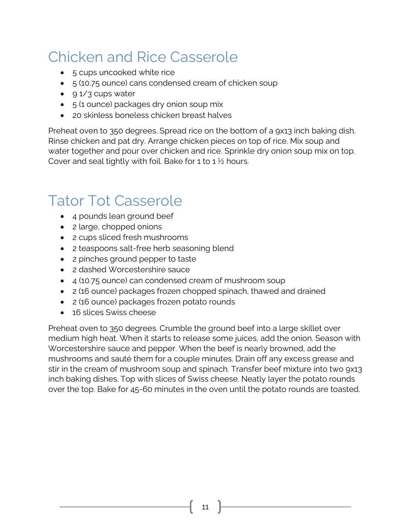## <span id="page-10-0"></span>Chicken and Rice Casserole

- 5 cups uncooked white rice
- 5 (10.75 ounce) cans condensed cream of chicken soup
- $\bullet$  9 1/3 cups water
- 5 (1 ounce) packages dry onion soup mix
- 20 skinless boneless chicken breast halves

Preheat oven to 350 degrees. Spread rice on the bottom of a 9x13 inch baking dish. Rinse chicken and pat dry. Arrange chicken pieces on top of rice. Mix soup and water together and pour over chicken and rice. Sprinkle dry onion soup mix on top. Cover and seal tightly with foil. Bake for 1 to 1  $\frac{1}{2}$  hours.

#### <span id="page-10-1"></span>Tator Tot Casserole

- 4 pounds lean ground beef
- 2 large, chopped onions
- 2 cups sliced fresh mushrooms
- 2 teaspoons salt-free herb seasoning blend
- 2 pinches ground pepper to taste
- 2 dashed Worcestershire sauce
- 4 (10.75 ounce) can condensed cream of mushroom soup
- 2 (16 ounce) packages frozen chopped spinach, thawed and drained
- 2 (16 ounce) packages frozen potato rounds
- 16 slices Swiss cheese

Preheat oven to 350 degrees. Crumble the ground beef into a large skillet over medium high heat. When it starts to release some juices, add the onion. Season with Worcestershire sauce and pepper. When the beef is nearly browned, add the mushrooms and sauté them for a couple minutes. Drain off any excess grease and stir in the cream of mushroom soup and spinach. Transfer beef mixture into two 9x13 inch baking dishes. Top with slices of Swiss cheese. Neatly layer the potato rounds over the top. Bake for 45-60 minutes in the oven until the potato rounds are toasted.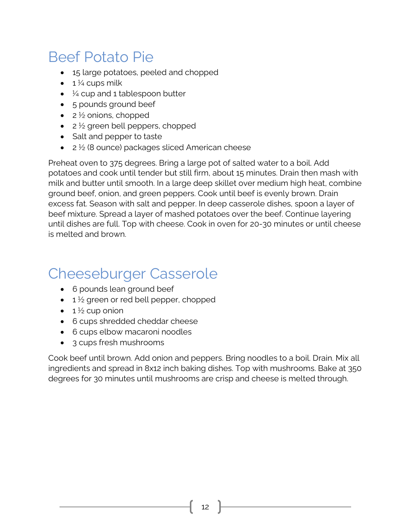#### <span id="page-11-0"></span>Beef Potato Pie

- 15 large potatoes, peeled and chopped
- $\bullet$  1  $\frac{1}{4}$  cups milk
- $\bullet\quad$  ¼ cup and 1 tablespoon butter
- 5 pounds ground beef
- $\bullet$  2  $\frac{1}{2}$  onions, chopped
- $\bullet$  2  $\frac{1}{2}$  green bell peppers, chopped
- Salt and pepper to taste
- 2 ½ (8 ounce) packages sliced American cheese

Preheat oven to 375 degrees. Bring a large pot of salted water to a boil. Add potatoes and cook until tender but still firm, about 15 minutes. Drain then mash with milk and butter until smooth. In a large deep skillet over medium high heat, combine ground beef, onion, and green peppers. Cook until beef is evenly brown. Drain excess fat. Season with salt and pepper. In deep casserole dishes, spoon a layer of beef mixture. Spread a layer of mashed potatoes over the beef. Continue layering until dishes are full. Top with cheese. Cook in oven for 20-30 minutes or until cheese is melted and brown.

#### <span id="page-11-1"></span>Cheeseburger Casserole

- 6 pounds lean ground beef
- $\bullet$  1  $\frac{1}{2}$  green or red bell pepper, chopped
- $\bullet$  1  $\frac{1}{2}$  cup onion
- 6 cups shredded cheddar cheese
- 6 cups elbow macaroni noodles
- 3 cups fresh mushrooms

Cook beef until brown. Add onion and peppers. Bring noodles to a boil. Drain. Mix all ingredients and spread in 8x12 inch baking dishes. Top with mushrooms. Bake at 350 degrees for 30 minutes until mushrooms are crisp and cheese is melted through.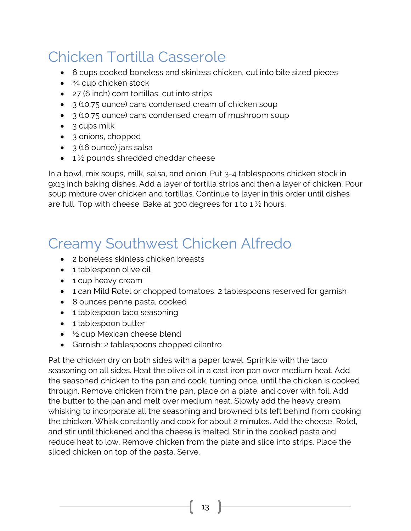## <span id="page-12-0"></span>Chicken Tortilla Casserole

- 6 cups cooked boneless and skinless chicken, cut into bite sized pieces
- $\bullet$   $\frac{3}{4}$  cup chicken stock
- 27 (6 inch) corn tortillas, cut into strips
- 3 (10.75 ounce) cans condensed cream of chicken soup
- 3 (10.75 ounce) cans condensed cream of mushroom soup
- 3 cups milk
- 3 onions, chopped
- 3 (16 ounce) jars salsa
- $\bullet$  1  $\frac{1}{2}$  pounds shredded cheddar cheese

In a bowl, mix soups, milk, salsa, and onion. Put 3-4 tablespoons chicken stock in 9x13 inch baking dishes. Add a layer of tortilla strips and then a layer of chicken. Pour soup mixture over chicken and tortillas. Continue to layer in this order until dishes are full. Top with cheese. Bake at 300 degrees for 1 to 1  $\frac{1}{2}$  hours.

## <span id="page-12-1"></span>Creamy Southwest Chicken Alfredo

- 2 boneless skinless chicken breasts
- 1 tablespoon olive oil
- 1 cup heavy cream
- 1 can Mild Rotel or chopped tomatoes, 2 tablespoons reserved for garnish
- 8 ounces penne pasta, cooked
- 1 tablespoon taco seasoning
- 1 tablespoon butter
- ½ cup Mexican cheese blend
- Garnish: 2 tablespoons chopped cilantro

Pat the chicken dry on both sides with a paper towel. Sprinkle with the taco seasoning on all sides. Heat the olive oil in a cast iron pan over medium heat. Add the seasoned chicken to the pan and cook, turning once, until the chicken is cooked through. Remove chicken from the pan, place on a plate, and cover with foil. Add the butter to the pan and melt over medium heat. Slowly add the heavy cream, whisking to incorporate all the seasoning and browned bits left behind from cooking the chicken. Whisk constantly and cook for about 2 minutes. Add the cheese, Rotel, and stir until thickened and the cheese is melted. Stir in the cooked pasta and reduce heat to low. Remove chicken from the plate and slice into strips. Place the sliced chicken on top of the pasta. Serve.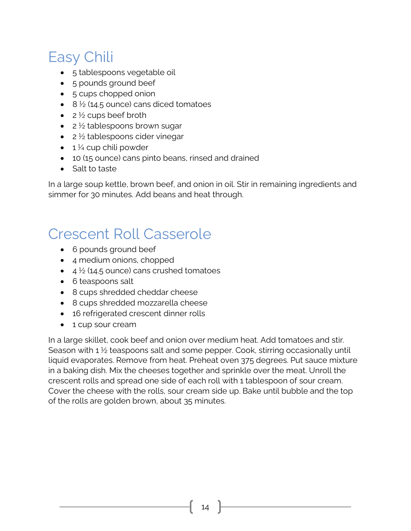## <span id="page-13-0"></span>Easy Chili

- 5 tablespoons vegetable oil
- 5 pounds ground beef
- 5 cups chopped onion
- $\bullet$  8  $\frac{1}{2}$  (14.5 ounce) cans diced tomatoes
- $2\frac{1}{2}$  cups beef broth
- $\bullet$  2  $\frac{1}{2}$  tablespoons brown sugar
- $\bullet$  2  $\frac{1}{2}$  tablespoons cider vinegar
- $\bullet$  1 ¼ cup chili powder
- 10 (15 ounce) cans pinto beans, rinsed and drained
- Salt to taste

In a large soup kettle, brown beef, and onion in oil. Stir in remaining ingredients and simmer for 30 minutes. Add beans and heat through.

#### <span id="page-13-1"></span>Crescent Roll Casserole

- 6 pounds ground beef
- 4 medium onions, chopped
- $\bullet$  4  $\frac{1}{2}$  (14.5 ounce) cans crushed tomatoes
- 6 teaspoons salt
- 8 cups shredded cheddar cheese
- 8 cups shredded mozzarella cheese
- 16 refrigerated crescent dinner rolls
- 1 cup sour cream

In a large skillet, cook beef and onion over medium heat. Add tomatoes and stir. Season with 1 ½ teaspoons salt and some pepper. Cook, stirring occasionally until liquid evaporates. Remove from heat. Preheat oven 375 degrees. Put sauce mixture in a baking dish. Mix the cheeses together and sprinkle over the meat. Unroll the crescent rolls and spread one side of each roll with 1 tablespoon of sour cream. Cover the cheese with the rolls, sour cream side up. Bake until bubble and the top of the rolls are golden brown, about 35 minutes.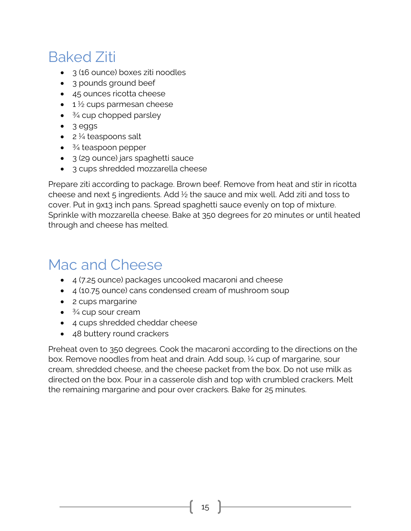## <span id="page-14-0"></span>Baked Ziti

- 3 (16 ounce) boxes ziti noodles
- 3 pounds ground beef
- 45 ounces ricotta cheese
- $\bullet$  1  $\frac{1}{2}$  cups parmesan cheese
- $\bullet$   $\frac{3}{4}$  cup chopped parsley
- 3 eggs
- $\bullet$  2  $\frac{1}{4}$  teaspoons salt
- $\bullet$   $\frac{3}{4}$  teaspoon pepper
- 3 (29 ounce) jars spaghetti sauce
- 3 cups shredded mozzarella cheese

Prepare ziti according to package. Brown beef. Remove from heat and stir in ricotta cheese and next 5 ingredients. Add  $\frac{1}{2}$  the sauce and mix well. Add ziti and toss to cover. Put in 9x13 inch pans. Spread spaghetti sauce evenly on top of mixture. Sprinkle with mozzarella cheese. Bake at 350 degrees for 20 minutes or until heated through and cheese has melted.

## <span id="page-14-1"></span>Mac and Cheese

- 4 (7.25 ounce) packages uncooked macaroni and cheese
- 4 (10.75 ounce) cans condensed cream of mushroom soup
- 2 cups margarine
- $\bullet$   $\frac{3}{4}$  cup sour cream
- 4 cups shredded cheddar cheese
- 48 buttery round crackers

Preheat oven to 350 degrees. Cook the macaroni according to the directions on the box. Remove noodles from heat and drain. Add soup, ¼ cup of margarine, sour cream, shredded cheese, and the cheese packet from the box. Do not use milk as directed on the box. Pour in a casserole dish and top with crumbled crackers. Melt the remaining margarine and pour over crackers. Bake for 25 minutes.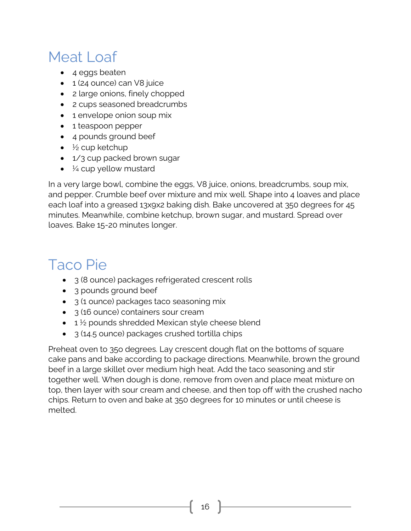## <span id="page-15-0"></span>Meat Loaf

- 4 eggs beaten
- 1 (24 ounce) can V8 juice
- 2 large onions, finely chopped
- 2 cups seasoned breadcrumbs
- 1 envelope onion soup mix
- 1 teaspoon pepper
- 4 pounds ground beef
- $\bullet\quad$  ½ cup ketchup
- 1/3 cup packed brown sugar
- $\bullet$   $\frac{1}{4}$  cup yellow mustard

In a very large bowl, combine the eggs, V8 juice, onions, breadcrumbs, soup mix, and pepper. Crumble beef over mixture and mix well. Shape into 4 loaves and place each loaf into a greased 13x9x2 baking dish. Bake uncovered at 350 degrees for 45 minutes. Meanwhile, combine ketchup, brown sugar, and mustard. Spread over loaves. Bake 15-20 minutes longer.

## <span id="page-15-1"></span>Taco Pie

- 3 (8 ounce) packages refrigerated crescent rolls
- 3 pounds ground beef
- 3 (1 ounce) packages taco seasoning mix
- 3 (16 ounce) containers sour cream
- $\bullet$  1  $\frac{1}{2}$  pounds shredded Mexican style cheese blend
- 3 (14.5 ounce) packages crushed tortilla chips

Preheat oven to 35o degrees. Lay crescent dough flat on the bottoms of square cake pans and bake according to package directions. Meanwhile, brown the ground beef in a large skillet over medium high heat. Add the taco seasoning and stir together well. When dough is done, remove from oven and place meat mixture on top, then layer with sour cream and cheese, and then top off with the crushed nacho chips. Return to oven and bake at 350 degrees for 10 minutes or until cheese is melted.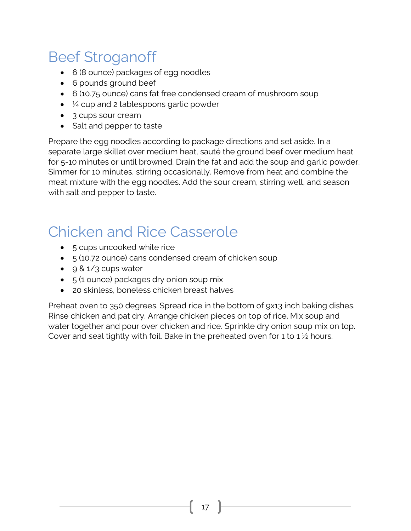## <span id="page-16-0"></span>Beef Stroganoff

- 6 (8 ounce) packages of egg noodles
- 6 pounds ground beef
- 6 (10.75 ounce) cans fat free condensed cream of mushroom soup
- $\bullet\quad$  ¼ cup and 2 tablespoons garlic powder
- 3 cups sour cream
- Salt and pepper to taste

Prepare the egg noodles according to package directions and set aside. In a separate large skillet over medium heat, sauté the ground beef over medium heat for 5-10 minutes or until browned. Drain the fat and add the soup and garlic powder. Simmer for 10 minutes, stirring occasionally. Remove from heat and combine the meat mixture with the egg noodles. Add the sour cream, stirring well, and season with salt and pepper to taste.

## <span id="page-16-1"></span>Chicken and Rice Casserole

- 5 cups uncooked white rice
- 5 (10.72 ounce) cans condensed cream of chicken soup
- 9 & 1/3 cups water
- 5 (1 ounce) packages dry onion soup mix
- 20 skinless, boneless chicken breast halves

Preheat oven to 350 degrees. Spread rice in the bottom of 9x13 inch baking dishes. Rinse chicken and pat dry. Arrange chicken pieces on top of rice. Mix soup and water together and pour over chicken and rice. Sprinkle dry onion soup mix on top. Cover and seal tightly with foil. Bake in the preheated oven for 1 to 1  $\frac{1}{2}$  hours.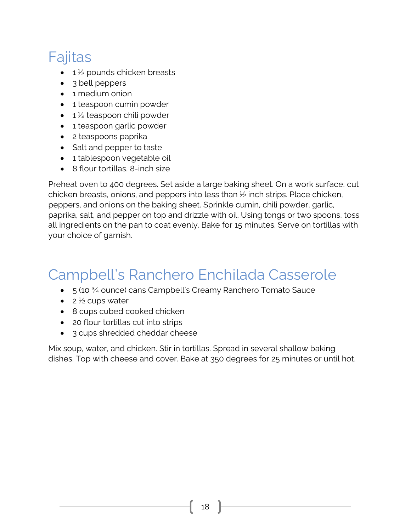## <span id="page-17-0"></span>Fajitas

- $\bullet$  1  $\frac{1}{2}$  pounds chicken breasts
- 3 bell peppers
- 1 medium onion
- 1 teaspoon cumin powder
- $\bullet$  1  $\frac{1}{2}$  teaspoon chili powder
- 1 teaspoon garlic powder
- 2 teaspoons paprika
- Salt and pepper to taste
- 1 tablespoon vegetable oil
- 8 flour tortillas, 8-inch size

Preheat oven to 400 degrees. Set aside a large baking sheet. On a work surface, cut chicken breasts, onions, and peppers into less than ½ inch strips. Place chicken, peppers, and onions on the baking sheet. Sprinkle cumin, chili powder, garlic, paprika, salt, and pepper on top and drizzle with oil. Using tongs or two spoons, toss all ingredients on the pan to coat evenly. Bake for 15 minutes. Serve on tortillas with your choice of garnish.

## <span id="page-17-1"></span>Campbell's Ranchero Enchilada Casserole

- 5 (10 ¾ ounce) cans Campbell's Creamy Ranchero Tomato Sauce
- 2 $\frac{1}{2}$  cups water
- 8 cups cubed cooked chicken
- 20 flour tortillas cut into strips
- 3 cups shredded cheddar cheese

Mix soup, water, and chicken. Stir in tortillas. Spread in several shallow baking dishes. Top with cheese and cover. Bake at 350 degrees for 25 minutes or until hot.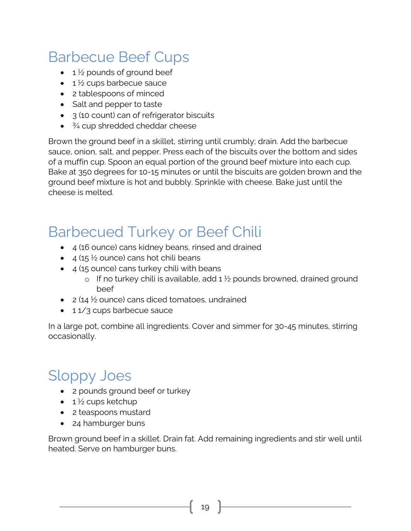## <span id="page-18-0"></span>Barbecue Beef Cups

- $\bullet$  1  $\frac{1}{2}$  pounds of ground beef
- $\bullet$  1 ½ cups barbecue sauce
- 2 tablespoons of minced
- Salt and pepper to taste
- 3 (10 count) can of refrigerator biscuits
- <sup>3/4</sup> cup shredded cheddar cheese

Brown the ground beef in a skillet, stirring until crumbly; drain. Add the barbecue sauce, onion, salt, and pepper. Press each of the biscuits over the bottom and sides of a muffin cup. Spoon an equal portion of the ground beef mixture into each cup. Bake at 350 degrees for 10-15 minutes or until the biscuits are golden brown and the ground beef mixture is hot and bubbly. Sprinkle with cheese. Bake just until the cheese is melted.

#### <span id="page-18-1"></span>Barbecued Turkey or Beef Chili

- 4 (16 ounce) cans kidney beans, rinsed and drained
- 4 (15  $\frac{1}{2}$  ounce) cans hot chili beans
- $\bullet$  4 (15 ounce) cans turkey chili with beans
	- $\circ$  If no turkey chili is available, add 1  $\frac{1}{2}$  pounds browned, drained ground beef
- $\bullet$  2 (14  $\frac{1}{2}$  ounce) cans diced tomatoes, undrained
- 11/3 cups barbecue sauce

In a large pot, combine all ingredients. Cover and simmer for 30-45 minutes, stirring occasionally.

## <span id="page-18-2"></span>Sloppy Joes

- 2 pounds ground beef or turkey
- $\bullet$  1  $\frac{1}{2}$  cups ketchup
- 2 teaspoons mustard
- 24 hamburger buns

Brown ground beef in a skillet. Drain fat. Add remaining ingredients and stir well until heated. Serve on hamburger buns.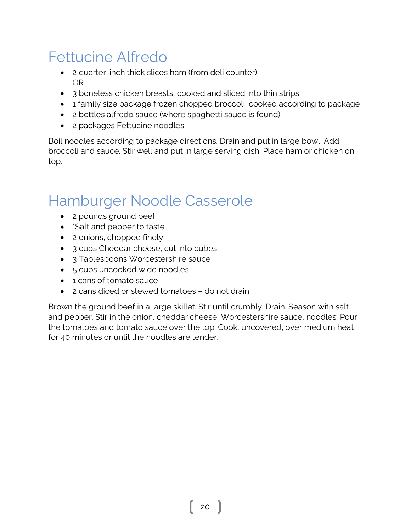## <span id="page-19-0"></span>Fettucine Alfredo

- 2 quarter-inch thick slices ham (from deli counter) OR
- 3 boneless chicken breasts, cooked and sliced into thin strips
- 1 family size package frozen chopped broccoli, cooked according to package
- 2 bottles alfredo sauce (where spaghetti sauce is found)
- 2 packages Fettucine noodles

Boil noodles according to package directions. Drain and put in large bowl. Add broccoli and sauce. Stir well and put in large serving dish. Place ham or chicken on top.

#### <span id="page-19-1"></span>Hamburger Noodle Casserole

- 2 pounds ground beef
- \*Salt and pepper to taste
- 2 onions, chopped finely
- 3 cups Cheddar cheese, cut into cubes
- 3 Tablespoons Worcestershire sauce
- 5 cups uncooked wide noodles
- 1 cans of tomato sauce
- 2 cans diced or stewed tomatoes do not drain

Brown the ground beef in a large skillet. Stir until crumbly. Drain. Season with salt and pepper. Stir in the onion, cheddar cheese, Worcestershire sauce, noodles. Pour the tomatoes and tomato sauce over the top. Cook, uncovered, over medium heat for 40 minutes or until the noodles are tender.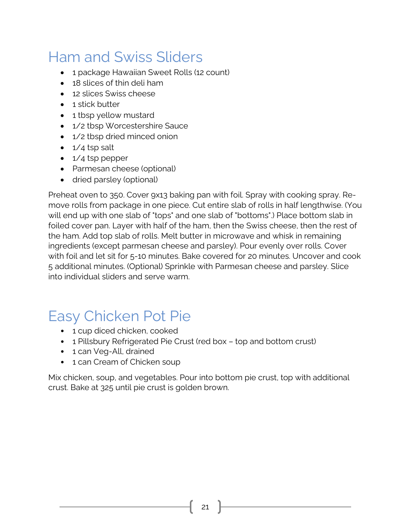## <span id="page-20-0"></span>Ham and Swiss Sliders

- 1 package Hawaiian Sweet Rolls (12 count)
- 18 slices of thin deli ham
- 12 slices Swiss cheese
- 1 stick butter
- 1 tbsp yellow mustard
- 1/2 tbsp Worcestershire Sauce
- 1/2 tbsp dried minced onion
- $\bullet$  1/4 tsp salt
- 1/4 tsp pepper
- Parmesan cheese (optional)
- dried parsley (optional)

Preheat oven to 350. Cover 9x13 baking pan with foil. Spray with cooking spray. Remove rolls from package in one piece. Cut entire slab of rolls in half lengthwise. (You will end up with one slab of "tops" and one slab of "bottoms".) Place bottom slab in foiled cover pan. Layer with half of the ham, then the Swiss cheese, then the rest of the ham. Add top slab of rolls. Melt butter in microwave and whisk in remaining ingredients (except parmesan cheese and parsley). Pour evenly over rolls. Cover with foil and let sit for 5-10 minutes. Bake covered for 20 minutes. Uncover and cook 5 additional minutes. (Optional) Sprinkle with Parmesan cheese and parsley. Slice into individual sliders and serve warm.

#### <span id="page-20-1"></span>Easy Chicken Pot Pie

- 1 cup diced chicken, cooked
- 1 Pillsbury Refrigerated Pie Crust (red box top and bottom crust)
- 1 can Veg-All, drained
- 1 can Cream of Chicken soup

Mix chicken, soup, and vegetables. Pour into bottom pie crust, top with additional crust. Bake at 325 until pie crust is golden brown.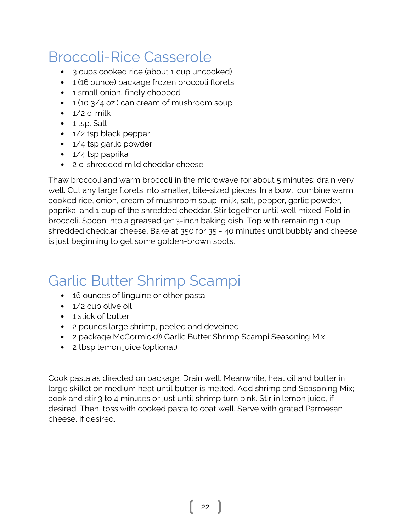## <span id="page-21-0"></span>Broccoli-Rice Casserole

- 3 cups cooked rice (about 1 cup uncooked)
- 1 (16 ounce) package frozen broccoli florets
- 1 small onion, finely chopped
- 1 (10 3/4 oz.) can cream of mushroom soup
- $\cdot$  1/2 c. milk
- 1 tsp. Salt
- 1/2 tsp black pepper
- 1/4 tsp garlic powder
- 1/4 tsp paprika
- 2 c. shredded mild cheddar cheese

Thaw broccoli and warm broccoli in the microwave for about 5 minutes; drain very well. Cut any large florets into smaller, bite-sized pieces. In a bowl, combine warm cooked rice, onion, cream of mushroom soup, milk, salt, pepper, garlic powder, paprika, and 1 cup of the shredded cheddar. Stir together until well mixed. Fold in broccoli. Spoon into a greased 9x13-inch baking dish. Top with remaining 1 cup shredded cheddar cheese. Bake at 350 for 35 - 40 minutes until bubbly and cheese is just beginning to get some golden-brown spots.

## <span id="page-21-1"></span>Garlic Butter Shrimp Scampi

- 16 ounces of linguine or other pasta
- 1/2 cup olive oil
- 1 stick of butter
- 2 pounds large shrimp, peeled and deveined
- 2 package McCormick® Garlic Butter Shrimp Scampi Seasoning Mix
- 2 tbsp lemon juice (optional)

Cook pasta as directed on package. Drain well. Meanwhile, heat oil and butter in large skillet on medium heat until butter is melted. Add shrimp and Seasoning Mix; cook and stir 3 to 4 minutes or just until shrimp turn pink. Stir in lemon juice, if desired. Then, toss with cooked pasta to coat well. Serve with grated Parmesan cheese, if desired.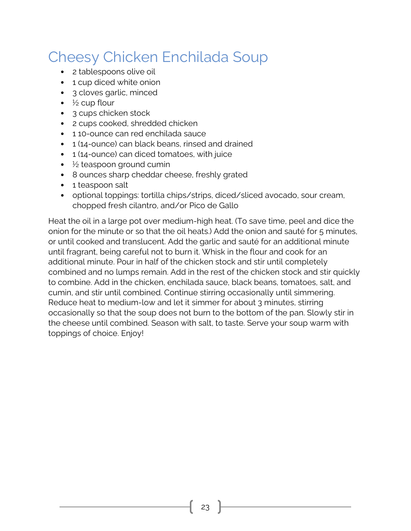## <span id="page-22-0"></span>Cheesy Chicken Enchilada Soup

- 2 tablespoons olive oil
- 1 cup diced white onion
- 3 cloves garlic, minced
- $\bullet\quad$  ½ cup flour
- 3 cups chicken stock
- 2 cups cooked, shredded chicken
- 110-ounce can red enchilada sauce
- 1 (14-ounce) can black beans, rinsed and drained
- 1 (14-ounce) can diced tomatoes, with juice
- $\bullet\quad$  ½ teaspoon ground cumin
- 8 ounces sharp cheddar cheese, freshly grated
- 1 teaspoon salt
- optional toppings: tortilla chips/strips, diced/sliced avocado, sour cream, chopped fresh cilantro, and/or Pico de Gallo

Heat the oil in a large pot over medium-high heat. (To save time, peel and dice the onion for the minute or so that the oil heats.) Add the onion and sauté for 5 minutes, or until cooked and translucent. Add the garlic and sauté for an additional minute until fragrant, being careful not to burn it. Whisk in the flour and cook for an additional minute. Pour in half of the chicken stock and stir until completely combined and no lumps remain. Add in the rest of the chicken stock and stir quickly to combine. Add in the chicken, enchilada sauce, black beans, tomatoes, salt, and cumin, and stir until combined. Continue stirring occasionally until simmering. Reduce heat to medium-low and let it simmer for about 3 minutes, stirring occasionally so that the soup does not burn to the bottom of the pan. Slowly stir in the cheese until combined. Season with salt, to taste. Serve your soup warm with toppings of choice. Enjoy!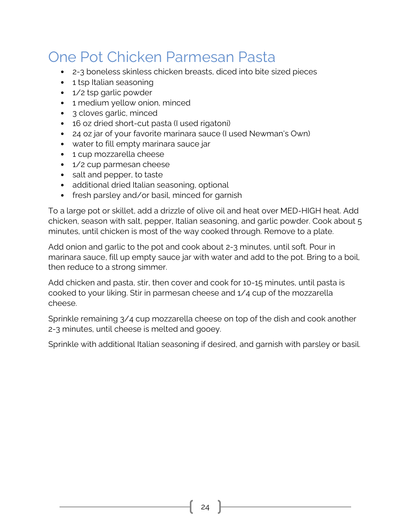#### <span id="page-23-0"></span>One Pot Chicken Parmesan Pasta

- 2-3 boneless skinless chicken breasts, diced into bite sized pieces
- 1 tsp Italian seasoning
- 1/2 tsp garlic powder
- 1 medium yellow onion, minced
- 3 cloves garlic, minced
- 16 oz dried short-cut pasta (I used rigatoni)
- 24 oz jar of your favorite marinara sauce (I used Newman's Own)
- water to fill empty marinara sauce jar
- 1 cup mozzarella cheese
- 1/2 cup parmesan cheese
- salt and pepper, to taste
- additional dried Italian seasoning, optional
- fresh parsley and/or basil, minced for garnish

To a large pot or skillet, add a drizzle of olive oil and heat over MED-HIGH heat. Add chicken, season with salt, pepper, Italian seasoning, and garlic powder. Cook about 5 minutes, until chicken is most of the way cooked through. Remove to a plate.

Add onion and garlic to the pot and cook about 2-3 minutes, until soft. Pour in marinara sauce, fill up empty sauce jar with water and add to the pot. Bring to a boil, then reduce to a strong simmer.

Add chicken and pasta, stir, then cover and cook for 10-15 minutes, until pasta is cooked to your liking. Stir in parmesan cheese and 1/4 cup of the mozzarella cheese.

Sprinkle remaining 3/4 cup mozzarella cheese on top of the dish and cook another 2-3 minutes, until cheese is melted and gooey.

Sprinkle with additional Italian seasoning if desired, and garnish with parsley or basil.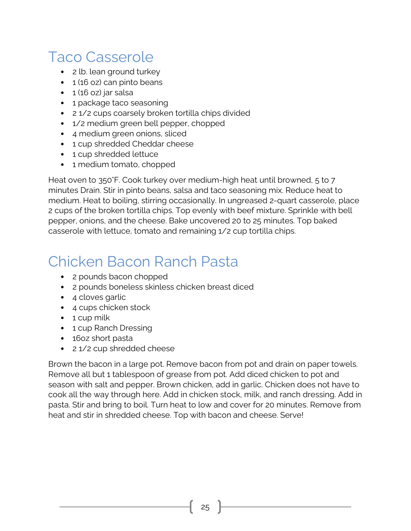#### <span id="page-24-0"></span>Taco Casserole

- 2 lb. lean ground turkey
- 1 (16 oz) can pinto beans
- $\cdot$  1 (16 oz) jar salsa
- 1 package taco seasoning
- 2 1/2 cups coarsely broken tortilla chips divided
- 1/2 medium green bell pepper, chopped
- 4 medium green onions, sliced
- 1 cup shredded Cheddar cheese
- 1 cup shredded lettuce
- 1 medium tomato, chopped

Heat oven to 350°F. Cook turkey over medium-high heat until browned, 5 to 7 minutes Drain. Stir in pinto beans, salsa and taco seasoning mix. Reduce heat to medium. Heat to boiling, stirring occasionally. In ungreased 2-quart casserole, place 2 cups of the broken tortilla chips. Top evenly with beef mixture. Sprinkle with bell pepper, onions, and the cheese. Bake uncovered 20 to 25 minutes. Top baked casserole with lettuce, tomato and remaining 1/2 cup tortilla chips.

#### <span id="page-24-1"></span>Chicken Bacon Ranch Pasta

- 2 pounds bacon chopped
- 2 pounds boneless skinless chicken breast diced
- 4 cloves garlic
- 4 cups chicken stock
- 1 cup milk
- 1 cup Ranch Dressing
- 16oz short pasta
- 2 1/2 cup shredded cheese

Brown the bacon in a large pot. Remove bacon from pot and drain on paper towels. Remove all but 1 tablespoon of grease from pot. Add diced chicken to pot and season with salt and pepper. Brown chicken, add in garlic. Chicken does not have to cook all the way through here. Add in chicken stock, milk, and ranch dressing. Add in pasta. Stir and bring to boil. Turn heat to low and cover for 20 minutes. Remove from heat and stir in shredded cheese. Top with bacon and cheese. Serve!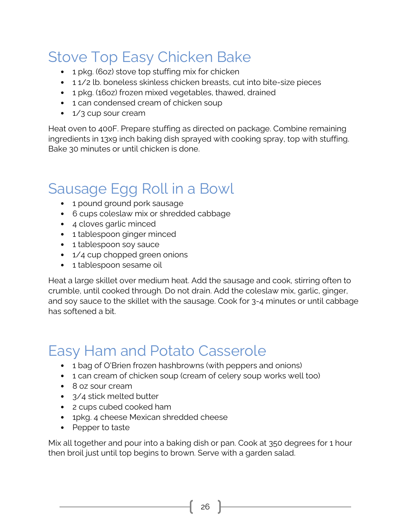## <span id="page-25-0"></span>Stove Top Easy Chicken Bake

- 1 pkg. (6oz) stove top stuffing mix for chicken
- 1 1/2 lb. boneless skinless chicken breasts, cut into bite-size pieces
- 1 pkg. (16oz) frozen mixed vegetables, thawed, drained
- 1 can condensed cream of chicken soup
- 1/3 cup sour cream

Heat oven to 400F. Prepare stuffing as directed on package. Combine remaining ingredients in 13x9 inch baking dish sprayed with cooking spray, top with stuffing. Bake 30 minutes or until chicken is done.

## <span id="page-25-1"></span>Sausage Egg Roll in a Bowl

- 1 pound ground pork sausage
- 6 cups coleslaw mix or shredded cabbage
- 4 cloves garlic minced
- 1 tablespoon ginger minced
- 1 tablespoon soy sauce
- 1/4 cup chopped green onions
- 1 tablespoon sesame oil

Heat a large skillet over medium heat. Add the sausage and cook, stirring often to crumble, until cooked through. Do not drain. Add the coleslaw mix, garlic, ginger, and soy sauce to the skillet with the sausage. Cook for 3-4 minutes or until cabbage has softened a bit.

## <span id="page-25-2"></span>Easy Ham and Potato Casserole

- 1 bag of O'Brien frozen hashbrowns (with peppers and onions)
- 1 can cream of chicken soup (cream of celery soup works well too)
- 8 oz sour cream
- 3/4 stick melted butter
- 2 cups cubed cooked ham
- 1pkg. 4 cheese Mexican shredded cheese
- Pepper to taste

Mix all together and pour into a baking dish or pan. Cook at 350 degrees for 1 hour then broil just until top begins to brown. Serve with a garden salad.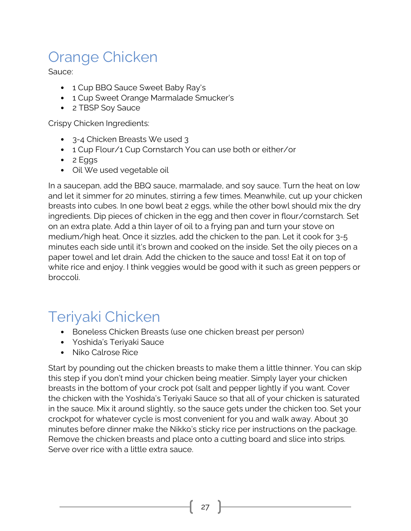## <span id="page-26-0"></span>Orange Chicken

Sauce:

- 1 Cup BBQ Sauce Sweet Baby Ray's
- 1 Cup Sweet Orange Marmalade Smucker's
- 2 TBSP Soy Sauce

Crispy Chicken Ingredients:

- 3-4 Chicken Breasts We used 3
- 1 Cup Flour/1 Cup Cornstarch You can use both or either/or
- 2 Eggs
- Oil We used vegetable oil

In a saucepan, add the BBQ sauce, marmalade, and soy sauce. Turn the heat on low and let it simmer for 20 minutes, stirring a few times. Meanwhile, cut up your chicken breasts into cubes. In one bowl beat 2 eggs, while the other bowl should mix the dry ingredients. Dip pieces of chicken in the egg and then cover in flour/cornstarch. Set on an extra plate. Add a thin layer of oil to a frying pan and turn your stove on medium/high heat. Once it sizzles, add the chicken to the pan. Let it cook for 3-5 minutes each side until it's brown and cooked on the inside. Set the oily pieces on a paper towel and let drain. Add the chicken to the sauce and toss! Eat it on top of white rice and enjoy. I think veggies would be good with it such as green peppers or broccoli.

## <span id="page-26-1"></span>Teriyaki Chicken

- Boneless Chicken Breasts (use one chicken breast per person)
- Yoshida's Teriyaki Sauce
- Niko Calrose Rice

Start by pounding out the chicken breasts to make them a little thinner. You can skip this step if you don't mind your chicken being meatier. Simply layer your chicken breasts in the bottom of your crock pot (salt and pepper lightly if you want. Cover the chicken with the Yoshida's Teriyaki Sauce so that all of your chicken is saturated in the sauce. Mix it around slightly, so the sauce gets under the chicken too. Set your crockpot for whatever cycle is most convenient for you and walk away. About 30 minutes before dinner make the Nikko's sticky rice per instructions on the package. Remove the chicken breasts and place onto a cutting board and slice into strips. Serve over rice with a little extra sauce.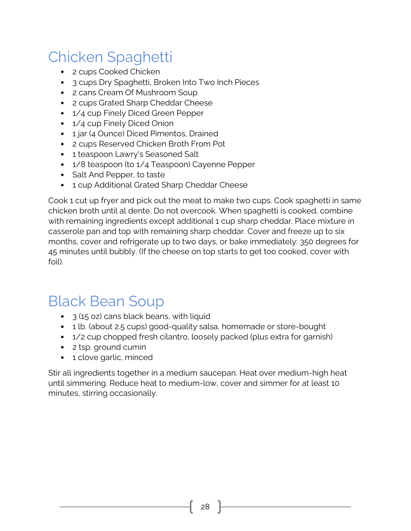## <span id="page-27-0"></span>Chicken Spaghetti

- 2 cups Cooked Chicken
- 3 cups Dry Spaghetti, Broken Into Two Inch Pieces
- 2 cans Cream Of Mushroom Soup
- 2 cups Grated Sharp Cheddar Cheese
- 1/4 cup Finely Diced Green Pepper
- 1/4 cup Finely Diced Onion
- 1 jar (4 Ounce) Diced Pimentos, Drained
- 2 cups Reserved Chicken Broth From Pot
- 1 teaspoon Lawry's Seasoned Salt
- 1/8 teaspoon (to 1/4 Teaspoon) Cayenne Pepper
- Salt And Pepper, to taste
- 1 cup Additional Grated Sharp Cheddar Cheese

Cook 1 cut up fryer and pick out the meat to make two cups. Cook spaghetti in same chicken broth until al dente. Do not overcook. When spaghetti is cooked, combine with remaining ingredients except additional 1 cup sharp cheddar. Place mixture in casserole pan and top with remaining sharp cheddar. Cover and freeze up to six months, cover and refrigerate up to two days, or bake immediately: 350 degrees for 45 minutes until bubbly. (If the cheese on top starts to get too cooked, cover with foil).

#### <span id="page-27-1"></span>Black Bean Soup

- 3 (15 oz) cans black beans, with liquid
- 1 lb. (about 2.5 cups) good-quality salsa, homemade or store-bought
- 1/2 cup chopped fresh cilantro, loosely packed (plus extra for garnish)
- 2 tsp. ground cumin
- 1 clove garlic, minced

Stir all ingredients together in a medium saucepan. Heat over medium-high heat until simmering. Reduce heat to medium-low, cover and simmer for at least 10 minutes, stirring occasionally.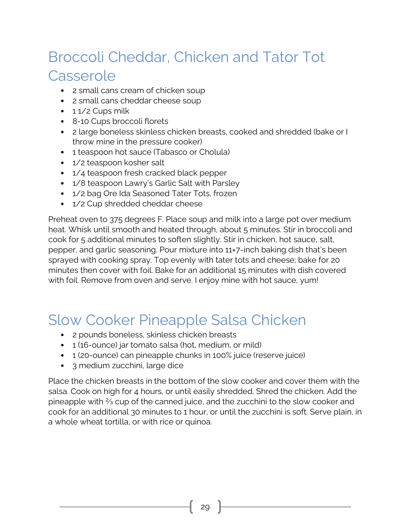## <span id="page-28-0"></span>Broccoli Cheddar, Chicken and Tator Tot Casserole

- 2 small cans cream of chicken soup
- 2 small cans cheddar cheese soup
- $\cdot$  1 1/2 Cups milk
- 8-10 Cups broccoli florets
- 2 large boneless skinless chicken breasts, cooked and shredded (bake or I throw mine in the pressure cooker)
- 1 teaspoon hot sauce (Tabasco or Cholula)
- 1/2 teaspoon kosher salt
- 1/4 teaspoon fresh cracked black pepper
- 1/8 teaspoon Lawry's Garlic Salt with Parsley
- 1/2 bag Ore Ida Seasoned Tater Tots, frozen
- 1/2 Cup shredded cheddar cheese

Preheat oven to 375 degrees F. Place soup and milk into a large pot over medium heat. Whisk until smooth and heated through, about 5 minutes. Stir in broccoli and cook for 5 additional minutes to soften slightly. Stir in chicken, hot sauce, salt, pepper, and garlic seasoning. Pour mixture into 11×7-inch baking dish that's been sprayed with cooking spray. Top evenly with tater tots and cheese; bake for 20 minutes then cover with foil. Bake for an additional 15 minutes with dish covered with foil. Remove from oven and serve. I enjoy mine with hot sauce, yum!

## <span id="page-28-1"></span>Slow Cooker Pineapple Salsa Chicken

- 2 pounds boneless, skinless chicken breasts
- 1 (16-ounce) jar tomato salsa (hot, medium, or mild)
- 1 (20-ounce) can pineapple chunks in 100% juice (reserve juice)
- 3 medium zucchini, large dice

Place the chicken breasts in the bottom of the slow cooker and cover them with the salsa. Cook on high for 4 hours, or until easily shredded. Shred the chicken. Add the pineapple with ⅔ cup of the canned juice, and the zucchini to the slow cooker and cook for an additional 30 minutes to 1 hour, or until the zucchini is soft. Serve plain, in a whole wheat tortilla, or with rice or quinoa.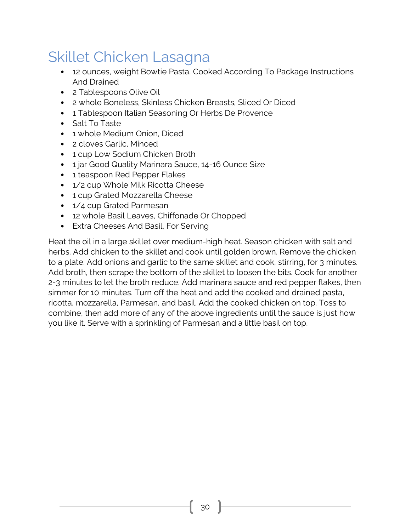## <span id="page-29-0"></span>Skillet Chicken Lasagna

- 12 ounces, weight Bowtie Pasta, Cooked According To Package Instructions And Drained
- 2 Tablespoons Olive Oil
- 2 whole Boneless, Skinless Chicken Breasts, Sliced Or Diced
- 1 Tablespoon Italian Seasoning Or Herbs De Provence
- Salt To Taste
- 1 whole Medium Onion, Diced
- 2 cloves Garlic, Minced
- 1 cup Low Sodium Chicken Broth
- 1 jar Good Quality Marinara Sauce, 14-16 Ounce Size
- 1 teaspoon Red Pepper Flakes
- 1/2 cup Whole Milk Ricotta Cheese
- 1 cup Grated Mozzarella Cheese
- 1/4 cup Grated Parmesan
- 12 whole Basil Leaves, Chiffonade Or Chopped
- Extra Cheeses And Basil, For Serving

Heat the oil in a large skillet over medium-high heat. Season chicken with salt and herbs. Add chicken to the skillet and cook until golden brown. Remove the chicken to a plate. Add onions and garlic to the same skillet and cook, stirring, for 3 minutes. Add broth, then scrape the bottom of the skillet to loosen the bits. Cook for another 2-3 minutes to let the broth reduce. Add marinara sauce and red pepper flakes, then simmer for 10 minutes. Turn off the heat and add the cooked and drained pasta, ricotta, mozzarella, Parmesan, and basil. Add the cooked chicken on top. Toss to combine, then add more of any of the above ingredients until the sauce is just how you like it. Serve with a sprinkling of Parmesan and a little basil on top.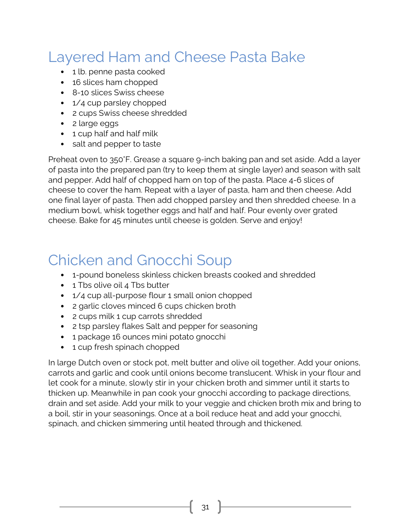## <span id="page-30-0"></span>Layered Ham and Cheese Pasta Bake

- 1 lb. penne pasta cooked
- 16 slices ham chopped
- 8-10 slices Swiss cheese
- 1/4 cup parsley chopped
- 2 cups Swiss cheese shredded
- 2 large eggs
- 1 cup half and half milk
- salt and pepper to taste

Preheat oven to 350°F. Grease a square 9-inch baking pan and set aside. Add a layer of pasta into the prepared pan (try to keep them at single layer) and season with salt and pepper. Add half of chopped ham on top of the pasta. Place 4-6 slices of cheese to cover the ham. Repeat with a layer of pasta, ham and then cheese. Add one final layer of pasta. Then add chopped parsley and then shredded cheese. In a medium bowl, whisk together eggs and half and half. Pour evenly over grated cheese. Bake for 45 minutes until cheese is golden. Serve and enjoy!

#### <span id="page-30-1"></span>Chicken and Gnocchi Soup

- 1-pound boneless skinless chicken breasts cooked and shredded
- 1 Tbs olive oil 4 Tbs butter
- 1/4 cup all-purpose flour 1 small onion chopped
- 2 garlic cloves minced 6 cups chicken broth
- 2 cups milk 1 cup carrots shredded
- 2 tsp parsley flakes Salt and pepper for seasoning
- 1 package 16 ounces mini potato gnocchi
- 1 cup fresh spinach chopped

In large Dutch oven or stock pot, melt butter and olive oil together. Add your onions, carrots and garlic and cook until onions become translucent. Whisk in your flour and let cook for a minute, slowly stir in your chicken broth and simmer until it starts to thicken up. Meanwhile in pan cook your gnocchi according to package directions, drain and set aside. Add your milk to your veggie and chicken broth mix and bring to a boil, stir in your seasonings. Once at a boil reduce heat and add your gnocchi, spinach, and chicken simmering until heated through and thickened.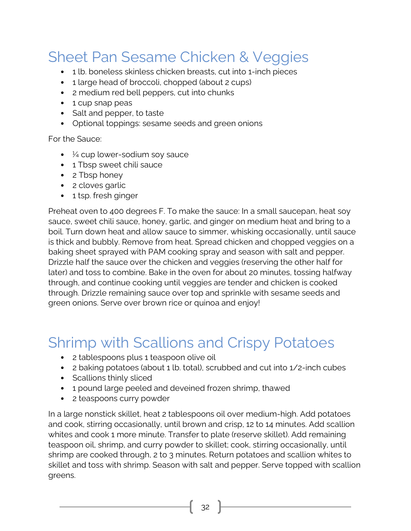## <span id="page-31-0"></span>Sheet Pan Sesame Chicken & Veggies

- 1 lb. boneless skinless chicken breasts, cut into 1-inch pieces
- 1 large head of broccoli, chopped (about 2 cups)
- 2 medium red bell peppers, cut into chunks
- 1 cup snap peas
- Salt and pepper, to taste
- Optional toppings: sesame seeds and green onions

For the Sauce:

- $\bullet\quad$  ½ cup lower-sodium soy sauce
- 1 Tbsp sweet chili sauce
- 2 Tbsp honey
- 2 cloves garlic
- 1 tsp. fresh ginger

Preheat oven to 400 degrees F. To make the sauce: In a small saucepan, heat soy sauce, sweet chili sauce, honey, garlic, and ginger on medium heat and bring to a boil. Turn down heat and allow sauce to simmer, whisking occasionally, until sauce is thick and bubbly. Remove from heat. Spread chicken and chopped veggies on a baking sheet sprayed with PAM cooking spray and season with salt and pepper. Drizzle half the sauce over the chicken and veggies (reserving the other half for later) and toss to combine. Bake in the oven for about 20 minutes, tossing halfway through, and continue cooking until veggies are tender and chicken is cooked through. Drizzle remaining sauce over top and sprinkle with sesame seeds and green onions. Serve over brown rice or quinoa and enjoy!

## <span id="page-31-1"></span>Shrimp with Scallions and Crispy Potatoes

- 2 tablespoons plus 1 teaspoon olive oil
- 2 baking potatoes (about 1 lb. total), scrubbed and cut into 1/2-inch cubes
- Scallions thinly sliced
- 1 pound large peeled and deveined frozen shrimp, thawed
- 2 teaspoons curry powder

In a large nonstick skillet, heat 2 tablespoons oil over medium-high. Add potatoes and cook, stirring occasionally, until brown and crisp, 12 to 14 minutes. Add scallion whites and cook 1 more minute. Transfer to plate (reserve skillet). Add remaining teaspoon oil, shrimp, and curry powder to skillet; cook, stirring occasionally, until shrimp are cooked through, 2 to 3 minutes. Return potatoes and scallion whites to skillet and toss with shrimp. Season with salt and pepper. Serve topped with scallion greens.